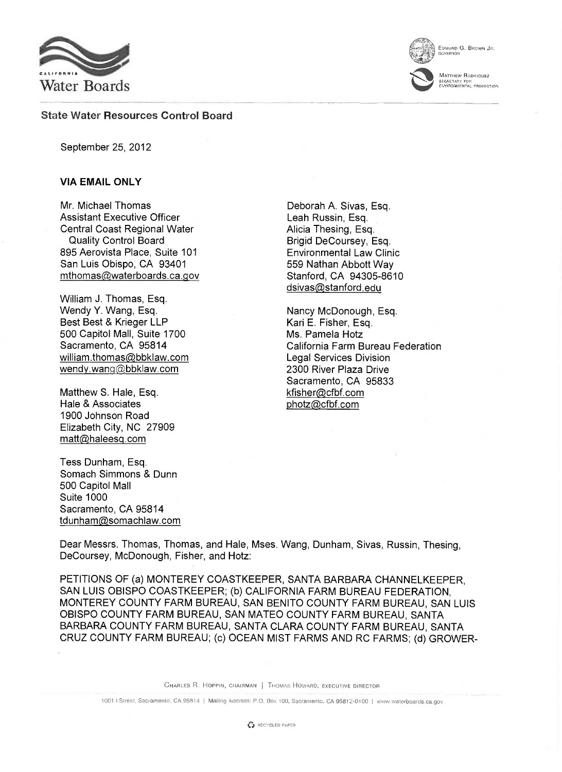

EDMUND G. BROWN JR.

qovERNori

**MATTHEW RODRIQUEZ** SECRETADY FoR EtARRONMENIRM. PROTFOTiON

## State Water Resources Control Board

September 25, 2012

## VIA EMAIL ONLY

Mr. Michael Thomas Assistant Executive Officer Central Coast Regional Water Quality Control Board 895 Aerovista Place, Suite 101 San Luis Obispo, CA 93401 mthomas@waterboards.ca.gov

William J. Thomas, Esq. Wendy Y. Wang, Esq. Best Best & Krieger LLP 500 Capitol Mall, Suite 1700 Sacramento, CA 95814 william.thomas@bbklaw.com wendy.wang@bbklaw.com

Matthew S. Hale, Esq. Hale & Associates 1900 Johnson Road Elizabeth City, NC 27909 matt@haleesq.com

Tess Dunham, Esq. Somach Simmons & Dunn 500 Capitol Mall Suite 1000 Sacramento, CA 95814 tdunham@somachlaw.com

Deborah A. Sivas, Esq. Leah Russin, Esq. Alicia Thesing, Esq. Brigid DeCoursey, Esq. Environmental Law Clinic 559 Nathan Abbott Way Stanford, CA 94305-8610 dsivas@stanford.edu

Nancy McDonough, Esq. Kari E. Fisher, Esq. Ms. Pamela Hotz California Farm Bureau Federation Legal Services Division 2300 River Plaza Drive Sacramento, CA 95833 kfisher@cfbf.com photz@cfbf.com

Dear Messrs. Thomas, Thomas, and Hale, Mses. Wang, Dunham, Sivas, Russin, Thesing, DeCoursey, McDonough, Fisher, and Hotz:

PETITIONS OF (a) MONTEREY COASTKEEPER, SANTA BARBARA CHANNELKEEPER, SAN LUIS OBISPO COASTKEEPER; (b) CALIFORNIA FARM BUREAU FEDERATION, MONTEREY COUNTY FARM BUREAU, SAN BENITO COUNTY FARM BUREAU, SAN LUIS OBISPO COUNTY FARM BUREAU, SAN MATEO COUNTY FARM BUREAU, SANTA BARBARA COUNTY FARM BUREAU, SANTA CLARA COUNTY FARM BUREAU, SANTA CRUZ COUNTY FARM BUREAU; (c) OCEAN MIST FARMS AND RC FARMS; (d) GROWER-

CHARLES R. HOPPIN, CHAIRMAN | THOMAS HOWARD, EXECUTIVE DIRECTOR

<sup>1001</sup> I Street, Sacramento, CA 95814 <sup>I</sup> Mailing Address: P.O. Box 100. Sacramento, CA 95812-0100 <sup>I</sup> www.waterboards.ca.gov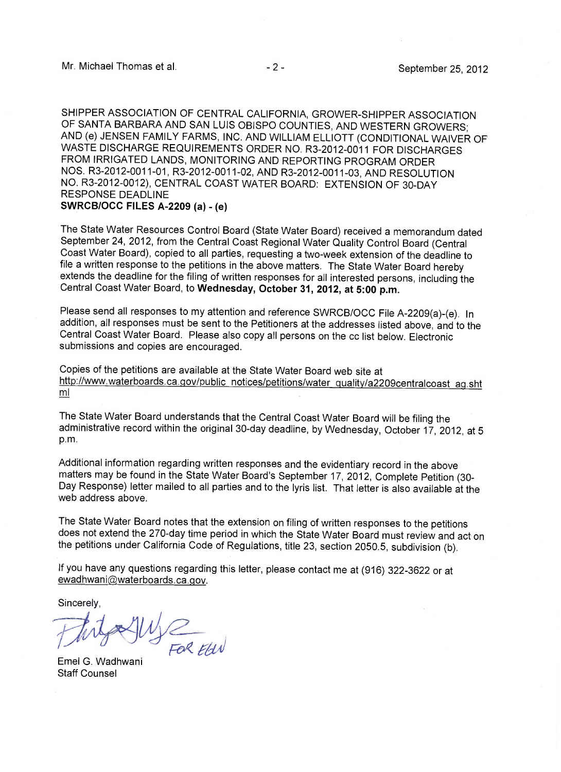SHIPPER ASSOCIATION OF CENTRAL CALIFORNIA, GROWER-SHIPPER ASSOCIATION OF SANTA BARBARA AND SAN LUIS OBISPO COUNTIES, AND WESTERN GROWERS; AND (e) JENSEN FAMILY FARMS, INC. AND WILLIAM ELLIOTT (CONDITIONAL WAIVER OF WASTE DISCHARGE REQUIREMENTS ORDER NO. R3-2012-0011 FOR DISCHARGES FROM IRRIGATED LANDS, MONITORING AND REPORTING PROGRAM ORDER NOS. R3-2012-0011-01, R3-2012-0011-02, AND R3-2012-0011-03, AND RESOLUTION NO. R3-2012-0012), CENTRAL COAST WATER BOARD: EXTENSION OF 30-DAY RESPONSE DEADLINE SWRCB/OCC FILES A-2209 (a) - (e)

The State Water Resources Control Board (State Water Board) received a memorandum dated September 24, 2012, from the Central Coast Regional Water Quality Control Board (Central Coast Water Board), copied to all parties, requesting a two-week extension of the deadline to file a written response to the petitions in the above matters. The State Water Board hereby extends the deadline for the filing of written responses for all interested persons, including the Central Coast Water Board, to Wednesday, October 31, 2012, at 5:00 p.m.

Please send all responses to my attention and reference SWRCB/OCC File A-2209(a)-(e). In addition, all responses must be sent to the Petitioners at the addresses listed above, and to the Central Coast Water Board. Please also copy all persons on the cc list below. Electronic submissions and copies are encouraged.

Copies of the petitions are available at the State Water Board web site at http://www.waterboards.ca.qov/public notices/petitions/water quality/a2209centralcoast aq.sht ml

The State Water Board understands that the Central Coast Water Board will be filing the administrative record within the original 30-day deadline, by Wednesday, October 17, 2012, at 5 p.m.

Additional information regarding written responses and the evidentiary record in the above matters may be found in the State Water Board's September 17, 2012, Complete Petition (30- Day Response) letter mailed to all parties and to the lyris list. That letter is also available at the web address above.

The State Water Board notes that the extension on filing of written responses to the petitions does not extend the 270-day time period in which the State Water Board must review and act on the petitions under California Code of Regulations, title 23, section 2050.5, subdivision (b).

If you have any questions regarding this letter, please contact me at (916) 322-3622 or at ewadhwani@waterboards.ca.gov.

Sincerely,

FOR ELIN

Emel G. Wadhwani Staff Counsel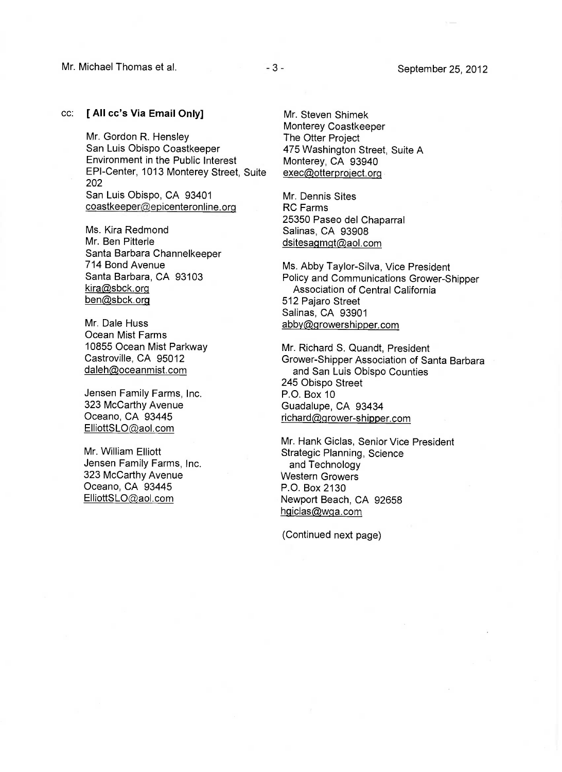## cc: [ All cc's Via Email Only]

Mr. Gordon R. Hensley San Luis Obispo Coastkeeper Environment in the Public Interest EPI-Center, 1013 Monterey Street, Suite 202 San Luis Obispo, CA 93401 coastkeeper@epicenteronline.org

Ms. Kira Redmond Mr. Ben Pitterle Santa Barbara Channelkeeper 714 Bond Avenue Santa Barbara, CA 93103 kira@sbck.org ben@sbck.org

Mr. Dale Huss Ocean Mist Farms 10855 Ocean Mist Parkway Castroville, CA 95012 daleh@oceanmist.com

Jensen Family Farms, Inc. 323 McCarthy Avenue Oceano, CA 93445 ElliottSLO@aol.com

Mr. William Elliott Jensen Family Farms, Inc. 323 McCarthy Avenue Oceano, CA 93445 ElliottSL0@aol.com

Mr. Steven Shimek Monterey Coastkeeper The Otter Project 475 Washington Street, Suite A Monterey, CA 93940 exec@otterproject.org

Mr. Dennis Sites RC Farms 25350 Paseo del Chaparral Salinas, CA 93908 dsitesagmgt@aol.com

Ms. Abby Taylor-Silva, Vice President Policy and Communications Grower-Shipper Association of Central California 512 Pajaro Street Salinas, CA 93901 abby@growershipper.com

Mr. Richard S. Quandt, President Grower-Shipper Association of Santa Barbara and San Luis Obispo Counties 245 Obispo Street P.O. Box 10 Guadalupe, CA 93434 richard@grower-shipper.com

Mr. Hank Giclas, Senior Vice President Strategic Planning, Science and Technology Western Growers P.O. Box 2130 Newport Beach, CA 92658 hgiclas@wga.com

(Continued next page)